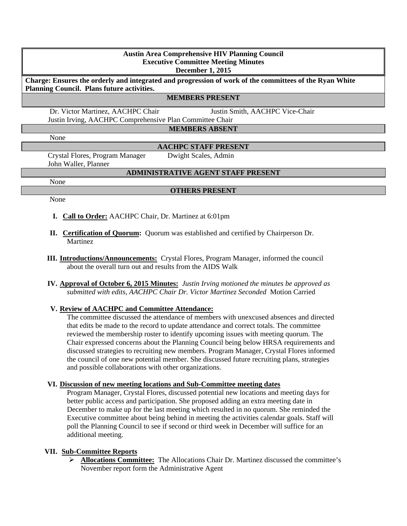# **Austin Area Comprehensive HIV Planning Council Executive Committee Meeting Minutes December 1, 2015 Charge: Ensures the orderly and integrated and progression of work of the committees of the Ryan White Planning Council. Plans future activities. MEMBERS PRESENT** Dr. Victor Martinez, AACHPC Chair Justin Smith, AACHPC Vice-Chair Justin Irving, AACHPC Comprehensive Plan Committee Chair **MEMBERS ABSENT** None **AACHPC STAFF PRESENT** Crystal Flores, Program Manager Dwight Scales, Admin John Waller, Planner **ADMINISTRATIVE AGENT STAFF PRESENT**

None

### **OTHERS PRESENT**

None

- **I. Call to Order:** AACHPC Chair, Dr. Martinez at 6:01pm
- **II. Certification of Quorum:** Quorum was established and certified by Chairperson Dr. Martinez
- **III. Introductions/Announcements:** Crystal Flores, Program Manager, informed the council about the overall turn out and results from the AIDS Walk
- **IV. Approval of October 6, 2015 Minutes:** *Justin Irving motioned the minutes be approved as submitted with edits, AACHPC Chair Dr. Victor Martinez Seconded* Motion Carried

### **V. Review of AACHPC and Committee Attendance:**

The committee discussed the attendance of members with unexcused absences and directed that edits be made to the record to update attendance and correct totals. The committee reviewed the membership roster to identify upcoming issues with meeting quorum. The Chair expressed concerns about the Planning Council being below HRSA requirements and discussed strategies to recruiting new members. Program Manager, Crystal Flores informed the council of one new potential member. She discussed future recruiting plans, strategies and possible collaborations with other organizations.

### **VI. Discussion of new meeting locations and Sub-Committee meeting dates**

Program Manager, Crystal Flores, discussed potential new locations and meeting days for better public access and participation. She proposed adding an extra meeting date in December to make up for the last meeting which resulted in no quorum. She reminded the Executive committee about being behind in meeting the activities calendar goals. Staff will poll the Planning Council to see if second or third week in December will suffice for an additional meeting.

### **VII. Sub-Committee Reports**

 **Allocations Committee:** The Allocations Chair Dr. Martinez discussed the committee's November report form the Administrative Agent